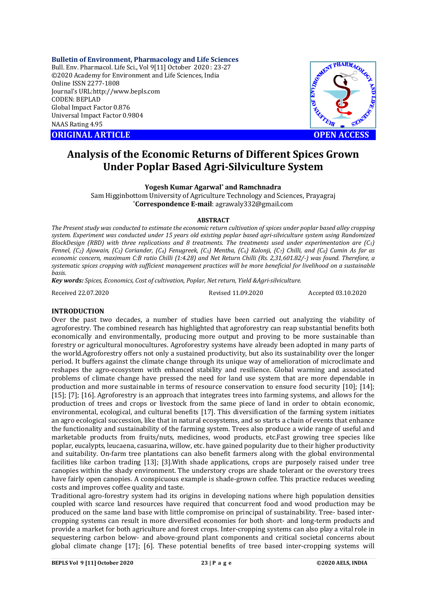**Bulletin of Environment, Pharmacology and Life Sciences**

Bull. Env. Pharmacol. Life Sci., Vol 9[11] October 2020 : 23-27 ©2020 Academy for Environment and Life Sciences, India Online ISSN 2277-1808 Journal's URL:<http://www.bepls.com> CODEN: BEPLAD Global Impact Factor 0.876 Universal Impact Factor 0.9804 NAAS Rating 4.95

**ORIGINAL ARTICLE OPEN ACCESS**



# **Analysis of the Economic Returns of Different Spices Grown Under Poplar Based Agri-Silviculture System**

**Yogesh Kumar Agarwal\* and Ramchnadra**

Sam Higginbottom University of Agriculture Technology and Sciences, Prayagraj \***Correspondence E-mail**: [agrawaly332@gmail.com](mailto:agrawaly332@gmail.com)

### **ABSTRACT**

*The Present study was conducted to estimate the economic return cultivation of spices under poplar based alley cropping system. Experiment was conducted under 15 years old existing poplar based agri-silviculture system using Randomized BlockDesign (RBD) with three replications and 8 treatments. The treatments used under experimentation are (C1) Fennel, (C2) Ajowain, (C3) Coriander, (C4) Fenugreek, (C5) Mentha, (C6) Kalonji, (C7) Chilli, and (C8) Cumin As far as economic concern, maximum C:B ratio Chilli (1:4.28) and Net Return Chilli (Rs. 2,31,601.82/-) was found. Therefore, a systematic spices cropping with sufficient management practices will be more beneficial for livelihood on a sustainable basis.*

*Key words: Spices, Economics, Cost of cultivation, Poplar, Net return, Yield &Agri-silviculture.*

Received 22.07.2020 Revised 11.09.2020 Accepted 03.10.2020

# **INTRODUCTION**

Over the past two decades, a number of studies have been carried out analyzing the viability of agroforestry. The combined research has highlighted that agroforestry can reap substantial benefits both economically and environmentally, producing more output and proving to be more sustainable than forestry or agricultural monocultures. Agroforestry systems have already been adopted in many parts of the world.Agroforestry offers not only a sustained productivity, but also its sustainability over the longer period. It buffers against the climate change through its unique way of amelioration of microclimate and reshapes the agro-ecosystem with enhanced stability and resilience. Global warming and associated problems of climate change have pressed the need for land use system that are more dependable in production and more sustainable in terms of resource conservation to ensure food security [10]; [14]; [15]; [7]; [16]. Agroforestry is an approach that integrates trees into farming systems, and allows for the production of trees and crops or livestock from the same piece of land in order to obtain economic, environmental, ecological, and cultural benefits [17]. This diversification of the farming system initiates an agro ecological succession, like that in natural ecosystems, and so starts a chain of events that enhance the functionality and sustainability of the farming system. Trees also produce a wide range of useful and marketable products from fruits/nuts, medicines, wood products, etc.Fast growing tree species like poplar, eucalypts, leucaena, casuarina, willow, etc. have gained popularity due to their higher productivity and suitability. On-farm tree plantations can also benefit farmers along with the global environmental facilities like carbon trading [13]; [3].With shade applications, crops are purposely raised under tree canopies within the shady environment. The understory crops are shade tolerant or the overstory trees have fairly open canopies. A conspicuous example is shade-grown coffee. This practice reduces weeding costs and improves coffee quality and taste.

Traditional agro-forestry system had its origins in developing nations where high population densities coupled with scarce land resources have required that concurrent food and wood production may be produced on the same land base with little compromise on principal of sustainability. Tree- based intercropping systems can result in more diversified economies for both short- and long-term products and provide a market for both agriculture and forest crops. Inter-cropping systems can also play a vital role in sequestering carbon below- and above-ground plant components and critical societal concerns about global climate change [17]; [6]. These potential benefits of tree based inter-cropping systems will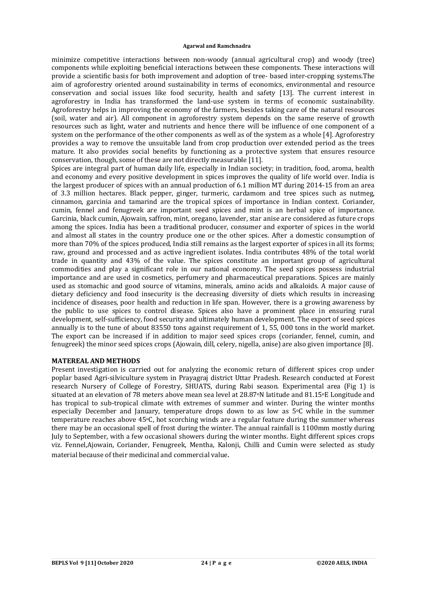#### **Agarwal and Ramchnadra**

minimize competitive interactions between non-woody (annual agricultural crop) and woody (tree) components while exploiting beneficial interactions between these components. These interactions will provide a scientific basis for both improvement and adoption of tree- based inter-cropping systems.The aim of agroforestry oriented around sustainability in terms of economics, environmental and resource conservation and social issues like food security, health and safety [13]. The current interest in agroforestry in India has transformed the land-use system in terms of economic sustainability. Agroforestry helps in improving the economy of the farmers, besides taking care of the natural resources (soil, water and air). All component in agroforestry system depends on the same reserve of growth resources such as light, water and nutrients and hence there will be influence of one component of a system on the performance of the other components as well as of the system as a whole [4]. Agroforestry provides a way to remove the unsuitable land from crop production over extended period as the trees mature. It also provides social benefits by functioning as a protective system that ensures resource conservation, though, some of these are not directly measurable [11].

Spices are integral part of human daily life, especially in Indian society; in tradition, food, aroma, health and economy and every positive development in spices improves the quality of life world over. India is the largest producer of spices with an annual production of 6.1 million MT during 2014-15 from an area of 3.3 million hectares. Black pepper, ginger, turmeric, cardamom and tree spices such as nutmeg, cinnamon, garcinia and tamarind are the tropical spices of importance in Indian context. Coriander, cumin, fennel and fenugreek are important seed spices and mint is an herbal spice of importance. Garcinia, black cumin, Ajowain, saffron, mint, oregano, lavender, star anise are considered as future crops among the spices. India has been a traditional producer, consumer and exporter of spices in the world and almost all states in the country produce one or the other spices. After a domestic consumption of more than 70% of the spices produced, India still remains as the largest exporter of spices in all its forms; raw, ground and processed and as active ingredient isolates. India contributes 48% of the total world trade in quantity and 43% of the value. The spices constitute an important group of agricultural commodities and play a significant role in our national economy. The seed spices possess industrial importance and are used in cosmetics, perfumery and pharmaceutical preparations. Spices are mainly used as stomachic and good source of vitamins, minerals, amino acids and alkaloids. A major cause of dietary deficiency and food insecurity is the decreasing diversity of diets which results in increasing incidence of diseases, poor health and reduction in life span. However, there is a growing awareness by the public to use spices to control disease. Spices also have a prominent place in ensuring rural development, self-sufficiency, food security and ultimately human development. The export of seed spices annually is to the tune of about 83550 tons against requirement of 1, 55, 000 tons in the world market. The export can be increased if in addition to major seed spices crops (coriander, fennel, cumin, and fenugreek) the minor seed spices crops (Ajowain, dill, celery, nigella, anise) are also given importance [8].

### **MATEREAL AND METHODS**

Present investigation is carried out for analyzing the economic return of different spices crop under poplar based Agri-silviculture system in Prayagraj district Uttar Pradesh. Research conducted at Forest research Nursery of College of Forestry, SHUATS, during Rabi season. Experimental area (Fig 1) is situated at an elevation of 78 meters above mean sea level at 28.87<sup>o</sup>N latitude and 81.15<sup>o</sup>E Longitude and has tropical to sub-tropical climate with extremes of summer and winter. During the winter months especially December and January, temperature drops down to as low as  $5^{\circ}$ C while in the summer temperature reaches above 45oC, hot scorching winds are a regular feature during the summer whereas there may be an occasional spell of frost during the winter. The annual rainfall is 1100mm mostly during July to September, with a few occasional showers during the winter months. Eight different spices crops viz. Fennel,Ajowain, Coriander, Fenugreek, Mentha, Kalonji, Chilli and Cumin were selected as study material because of their medicinal and commercial value.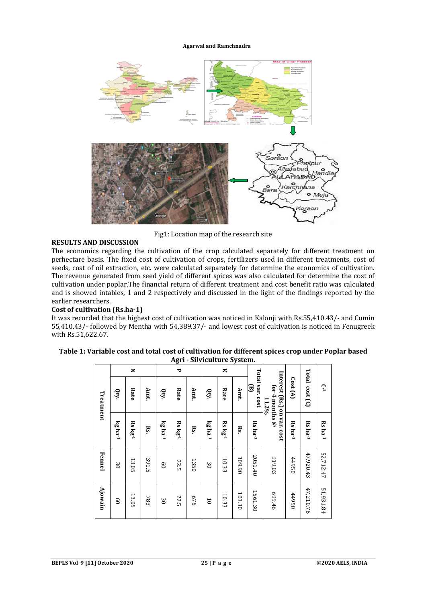#### **Agarwal and Ramchnadra**



Fig1: Location map of the research site

## **RESULTS AND DISCUSSION**

The economics regarding the cultivation of the crop calculated separately for different treatment on perhectare basis. The fixed cost of cultivation of crops, fertilizers used in different treatments, cost of seeds, cost of oil extraction, etc. were calculated separately for determine the economics of cultivation. The revenue generated from seed yield of different spices was also calculated for determine the cost of cultivation under poplar.The financial return of different treatment and cost benefit ratio was calculated and is showed intables, 1 and 2 respectively and discussed in the light of the findings reported by the earlier researchers.

## **Cost of cultivation (Rs.ha-1)**

It was recorded that the highest cost of cultivation was noticed in Kalonji with Rs.55,410.43/- and Cumin 55,410.43/- followed by Mentha with 54,389.37/- and lowest cost of cultivation is noticed in Fenugreek with Rs.51,622.67.

|           |                     | z                    |                 |                 | ັ<br>٣               |                 |                | ≂              |        |                       |                                                                    |                                        |                       |                       |
|-----------|---------------------|----------------------|-----------------|-----------------|----------------------|-----------------|----------------|----------------|--------|-----------------------|--------------------------------------------------------------------|----------------------------------------|-----------------------|-----------------------|
| Treatment | Qty.                | Rate                 | Amt.            | Qty.            | Rate                 | Amt.            | Qty            | Rate           | Amt.   | Total var. cost<br>ਭ  | Interest (Rs.) on var. cost<br>for 4 months $\varnothing$<br>11.2% | $\mathrm{Cost}\left(\mathrm{A}\right)$ | Total cost (C)        | $\mathbb{C}^{*2}$     |
|           | kg ha <sup>-1</sup> | $Rs \text{ kg}^{-1}$ | $\mathbf{Rs}$ . | $kg$ ha $^{-1}$ | $Rs \text{ kg}^{-1}$ | $\mathbf{R}$ s. | kg ha-1        | $Rs$ $kg^{-1}$ | Rs.    | $Rs$ ha <sup>-1</sup> |                                                                    | $Rs$ ha <sup>-1</sup>                  | $Rs$ ha <sup>-1</sup> | $Rs$ ha <sup>-1</sup> |
| Fennel    | $\approx$           | 13.05                | 391.5           | $\mathbf{e}$    | 22.5                 | 1350            | $\approx$      | 10.33          | 309.90 | 2051.40               | 919.03                                                             | 44950                                  | 47,920.43             | 52,712.47             |
| Ajowain   | $\overline{6}$      | 13.05                | 783             | $\approx$       | 22.5                 | 675             | $\overline{0}$ | 10.33          | 103.30 | 1561.30               | 699.46                                                             | 44950                                  | 47,210.76             | 51,931.84             |

| Table 1: Variable cost and total cost of cultivation for different spices crop under Poplar based |
|---------------------------------------------------------------------------------------------------|
| Agri - Silviculture System.                                                                       |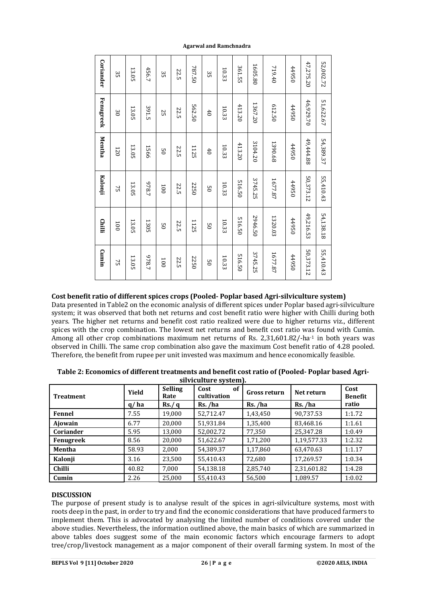|                                                                                                                                                                                                                                                                                                                                                                                                                                                                                                                                                                                                                                                              | Coriander | 35        | 13.05        | 456.7 | Sβ              | 22.5             | 787.50 | Sβ                            | 10.33 | 361.55 | 1605.80             | 719.40              | 44950 | 47,275.20           | 52,002.72 |                 |
|--------------------------------------------------------------------------------------------------------------------------------------------------------------------------------------------------------------------------------------------------------------------------------------------------------------------------------------------------------------------------------------------------------------------------------------------------------------------------------------------------------------------------------------------------------------------------------------------------------------------------------------------------------------|-----------|-----------|--------------|-------|-----------------|------------------|--------|-------------------------------|-------|--------|---------------------|---------------------|-------|---------------------|-----------|-----------------|
|                                                                                                                                                                                                                                                                                                                                                                                                                                                                                                                                                                                                                                                              | Fenugreek | $\approx$ | 13.05        | 391.5 | 55              | 22.5             | 562.50 | $40\,$                        | 10.33 | 413.20 | 1367.20             | 612.50              | 44950 | 46,929.70           | 51,622.67 |                 |
|                                                                                                                                                                                                                                                                                                                                                                                                                                                                                                                                                                                                                                                              | Mentha    | 120       | 13.05        | 1566  | $^{05}$         | 22.5             | 1125   | $^{40}$                       | 10.33 | 413.20 | 3104.20             | 1390.68             | 44950 | 49,444.88           | 54,389.37 |                 |
|                                                                                                                                                                                                                                                                                                                                                                                                                                                                                                                                                                                                                                                              | Kalonji   | 75        | 13.05        | 1826  | 100             | 22.5             | 2250   | $_{05}$                       | 10.33 | 516.50 | 3745.25             | 1677.87             | 44950 | 50,373.12           | 55,410.43 |                 |
|                                                                                                                                                                                                                                                                                                                                                                                                                                                                                                                                                                                                                                                              | Chilli    | 100       | 13.05        | 1305  | $\overline{50}$ | 22.5             | 1125   | $_{05}$                       | 10.33 | 516.50 | 2946.50             | 1320.03             | 44950 | 49,216.53           | 54,138.18 |                 |
|                                                                                                                                                                                                                                                                                                                                                                                                                                                                                                                                                                                                                                                              | Cumin     | 75        | 13.05        | 978.7 | 100             | 22.5             | 2250   | $_{05}$                       | 10.33 | 516.50 | 3745.25             | 1677.87             | 44950 | 50,373.12           | 55,410.43 |                 |
| Cost benefit ratio of different spices crops (Pooled-Poplar based Agri-silviculture system)<br>Data presented in Table2 on the economic analysis of different spices under Poplar based agri-silvicultu<br>system; it was observed that both net returns and cost benefit ratio were higher with Chilli during bo                                                                                                                                                                                                                                                                                                                                            |           |           |              |       |                 |                  |        |                               |       |        |                     |                     |       |                     |           |                 |
| years. The higher net returns and benefit cost ratio realized were due to higher returns viz., differe<br>spices with the crop combination. The lowest net returns and benefit cost ratio was found with Cum<br>Among all other crop combinations maximum net returns of Rs. 2,31,601.82/-ha-1 in both years w<br>observed in Chilli. The same crop combination also gave the maximum Cost benefit ratio of 4.28 poole<br>Therefore, the benefit from rupee per unit invested was maximum and hence economically feasible.<br>Table 2: Economics of different treatments and benefit cost ratio of (Pooled-Poplar based Agri                                 |           |           |              |       |                 |                  |        |                               |       |        |                     |                     |       |                     |           |                 |
|                                                                                                                                                                                                                                                                                                                                                                                                                                                                                                                                                                                                                                                              |           |           |              |       |                 | <b>Selling</b>   |        | silviculture system).<br>Cost |       | of     |                     |                     |       |                     |           | Cost            |
| <b>Treatment</b>                                                                                                                                                                                                                                                                                                                                                                                                                                                                                                                                                                                                                                             |           |           | Yield        |       | Rate            |                  |        | cultivation                   |       |        |                     | <b>Gross return</b> |       | Net return          |           | <b>Benefit</b>  |
| Fennel                                                                                                                                                                                                                                                                                                                                                                                                                                                                                                                                                                                                                                                       |           |           | q/ha<br>7.55 |       |                 | Rs./ q<br>19,000 |        | Rs./ha<br>52,712.47           |       |        | Rs. /ha<br>1,43,450 |                     |       | Rs./ha<br>90,737.53 |           | ratio<br>1:1.72 |
| Ajowain                                                                                                                                                                                                                                                                                                                                                                                                                                                                                                                                                                                                                                                      |           |           | 6.77         |       |                 | 20,000           |        | 51,931.84                     |       |        | 1,35,400            |                     |       | 83,468.16           |           | 1:1.61          |
| Coriander                                                                                                                                                                                                                                                                                                                                                                                                                                                                                                                                                                                                                                                    |           |           | 5.95         |       |                 | 13,000           |        | 52,002.72                     |       |        | 77,350              |                     |       | 25,347.28           |           | 1:0.49          |
| Fenugreek                                                                                                                                                                                                                                                                                                                                                                                                                                                                                                                                                                                                                                                    |           |           | 8.56         |       |                 | 20,000           |        | 51,622.67                     |       |        | 1,71,200            |                     |       | 1,19,577.33         |           | 1:2.32          |
| Mentha                                                                                                                                                                                                                                                                                                                                                                                                                                                                                                                                                                                                                                                       |           |           | 58.93        |       | 2,000           |                  |        | 54,389.37                     |       |        | 1,17,860            |                     |       | 63,470.63           |           | 1:1.17          |
| Kalonji                                                                                                                                                                                                                                                                                                                                                                                                                                                                                                                                                                                                                                                      |           |           | 3.16         |       |                 | 23,500           |        | 55,410.43                     |       |        | 72,680              |                     |       | 17,269.57           |           | 1:0.34          |
| Chilli                                                                                                                                                                                                                                                                                                                                                                                                                                                                                                                                                                                                                                                       |           |           | 40.82        |       | 7,000           |                  |        | 54,138.18                     |       |        | 2,85,740            |                     |       | 2,31,601.82         |           | 1:4.28          |
| Cumin<br><b>DISCUSSION</b><br>The purpose of present study is to analyse result of the spices in agri-silviculture systems, most wi<br>roots deep in the past, in order to try and find the economic considerations that have produced farmers<br>implement them. This is advocated by analysing the limited number of conditions covered under t<br>above studies. Nevertheless, the information outlined above, the main basics of which are summarized<br>above tables does suggest some of the main economic factors which encourage farmers to add<br>tree/crop/livestock management as a major component of their overall farming system. In most of t |           |           | 2.26         |       |                 | 25,000           |        | 55,410.43                     |       |        | 56,500              |                     |       | 1,089.57            |           | 1:0.02          |

# **Cost benefit ratio of different spices crops (Pooled- Poplar based Agri-silviculture system)**

| <b>Treatment</b> | Yield | <b>Selling</b><br>Rate | Cost<br><sub>of</sub><br>cultivation | <b>Gross return</b> | Net return  | Cost<br><b>Benefit</b> |  |
|------------------|-------|------------------------|--------------------------------------|---------------------|-------------|------------------------|--|
|                  | q/ha  | Rs./ q                 | Rs./ha                               | Rs./ha              | Rs./ha      | ratio                  |  |
| Fennel           | 7.55  | 19,000                 | 52,712.47                            | 1,43,450            | 90,737.53   | 1:1.72                 |  |
| Ajowain          | 6.77  | 20.000                 | 51.931.84                            | 1,35,400            | 83.468.16   | 1:1.61                 |  |
| Coriander        | 5.95  | 13.000                 | 52.002.72                            | 77.350              | 25.347.28   | 1:0.49                 |  |
| Fenugreek        | 8.56  | 20.000                 | 51,622.67                            | 1,71,200            | 1,19,577.33 | 1:2.32                 |  |
| Mentha           | 58.93 | 2,000                  | 54,389.37                            | 1,17,860            | 63,470.63   | 1:1.17                 |  |
| Kalonji          | 3.16  | 23,500                 | 55,410.43                            | 72,680              | 17,269.57   | 1:0.34                 |  |
| <b>Chilli</b>    | 40.82 | 7.000                  | 54.138.18                            | 2,85,740            | 2,31,601.82 | 1:4.28                 |  |
| Cumin            | 2.26  | 25.000                 | 55.410.43                            | 56.500              | 1.089.57    | 1:0.02                 |  |

| Table 2: Economics of different treatments and benefit cost ratio of (Pooled-Poplar based Agri- |
|-------------------------------------------------------------------------------------------------|
| silviculture system).                                                                           |

# **DISCUSSION**